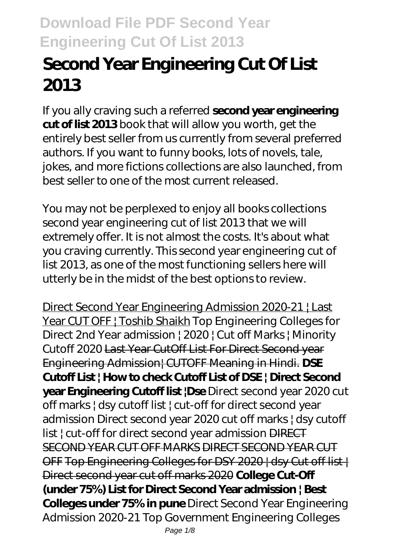# **Second Year Engineering Cut Of List 2013**

If you ally craving such a referred **second year engineering cut of list 2013** book that will allow you worth, get the entirely best seller from us currently from several preferred authors. If you want to funny books, lots of novels, tale, jokes, and more fictions collections are also launched, from best seller to one of the most current released.

You may not be perplexed to enjoy all books collections second year engineering cut of list 2013 that we will extremely offer. It is not almost the costs. It's about what you craving currently. This second year engineering cut of list 2013, as one of the most functioning sellers here will utterly be in the midst of the best options to review.

Direct Second Year Engineering Admission 2020-21 | Last Year CUT OFF | Toshib Shaikh *Top Engineering Colleges for Direct 2nd Year admission | 2020 | Cut off Marks | Minority Cutoff 2020* Last Year CutOff List For Direct Second year Engineering Admission| CUTOFF Meaning in Hindi. **DSE Cutoff List | How to check Cutoff List of DSE | Direct Second year Engineering Cutoff list |Dse** *Direct second year 2020 cut off marks | dsy cutoff list | cut-off for direct second year admission Direct second year 2020 cut off marks | dsy cutoff list | cut-off for direct second year admission* DIRECT SECOND YEAR CUT OFF MARKS DIRECT SECOND YEAR CUT OFF Top Engineering Colleges for DSY 2020 | dsy Cut off list | Direct second year cut off marks 2020 **College Cut-Off (under 75%) List for Direct Second Year admission | Best Colleges under 75% in pune** Direct Second Year Engineering Admission 2020-21 Top Government Engineering Colleges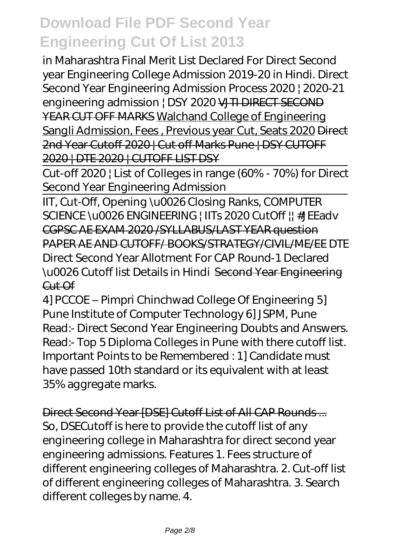in Maharashtra Final Merit List Declared For Direct Second year Engineering College Admission 2019-20 in Hindi. Direct Second Year Engineering Admission Process 2020 | 2020-21 engineering admission | DSY 2020 VJTI DIRECT SECOND YEAR CUT OFF MARKS Walchand College of Engineering Sangli Admission, Fees , Previous year Cut, Seats 2020 Direct 2nd Year Cutoff 2020 | Cut off Marks Pune | DSY CUTOFF 2020 | DTE 2020 | CUTOFF LIST DSY

Cut-off 2020 | List of Colleges in range (60% - 70%) for Direct Second Year Engineering Admission

IIT, Cut-Off, Opening \u0026 Closing Ranks, COMPUTER SCIENCE \u0026 ENGINEERING | IITs 2020 CutOff || #JEEadv CGPSC AE EXAM 2020 /SYLLABUS/LAST YEAR question PAPER AE AND CUTOFF/ BOOKS/STRATEGY/CIVIL/ME/EE *DTE Direct Second Year Allotment For CAP Round-1 Declared \u0026 Cutoff list Details in Hindi* Second Year Engineering  $C<sub>u</sub>+C<sub>f</sub>$ 

4] PCCOE – Pimpri Chinchwad College Of Engineering 5] Pune Institute of Computer Technology 6] JSPM, Pune Read:- Direct Second Year Engineering Doubts and Answers. Read:- Top 5 Diploma Colleges in Pune with there cutoff list. Important Points to be Remembered : 1] Candidate must have passed 10th standard or its equivalent with at least 35% aggregate marks.

Direct Second Year [DSE] Cutoff List of All CAP Rounds ... So, DSECutoff is here to provide the cutoff list of any engineering college in Maharashtra for direct second year engineering admissions. Features 1. Fees structure of different engineering colleges of Maharashtra. 2. Cut-off list of different engineering colleges of Maharashtra. 3. Search different colleges by name. 4.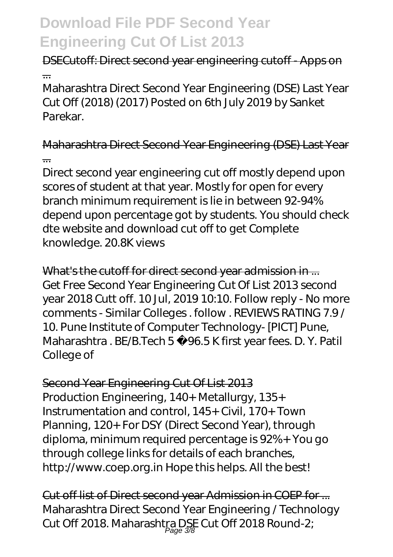### DSECutoff: Direct second year engineering cutoff - Apps on ...

Maharashtra Direct Second Year Engineering (DSE) Last Year Cut Off (2018) (2017) Posted on 6th July 2019 by Sanket Parekar.

Maharashtra Direct Second Year Engineering (DSE) Last Year ...

Direct second year engineering cut off mostly depend upon scores of student at that year. Mostly for open for every branch minimum requirement is lie in between 92-94% depend upon percentage got by students. You should check dte website and download cut off to get Complete knowledge. 20.8K views

What's the cutoff for direct second year admission in ... Get Free Second Year Engineering Cut Of List 2013 second year 2018 Cutt off. 10 Jul, 2019 10:10. Follow reply - No more comments - Similar Colleges . follow . REVIEWS RATING 7.9 / 10. Pune Institute of Computer Technology- [PICT] Pune, Maharashtra . BE/B.Tech 5 96.5 K first year fees. D. Y. Patil College of

Second Year Engineering Cut Of List 2013 Production Engineering, 140+ Metallurgy, 135+ Instrumentation and control, 145+ Civil, 170+ Town Planning, 120+ For DSY (Direct Second Year), through diploma, minimum required percentage is 92%+ You go through college links for details of each branches, http://www.coep.org.in Hope this helps. All the best!

Cut off list of Direct second year Admission in COEP for ... Maharashtra Direct Second Year Engineering / Technology Cut Off 2018. Maharashtra DSE Cut Off 2018 Round-2;<br>age 38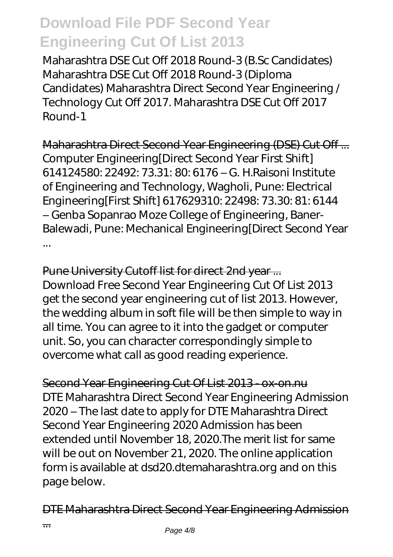Maharashtra DSE Cut Off 2018 Round-3 (B.Sc Candidates) Maharashtra DSE Cut Off 2018 Round-3 (Diploma Candidates) Maharashtra Direct Second Year Engineering / Technology Cut Off 2017. Maharashtra DSE Cut Off 2017 Round-1

Maharashtra Direct Second Year Engineering (DSE) Cut Off ... Computer Engineering[Direct Second Year First Shift] 614124580: 22492: 73.31: 80: 6176 – G. H.Raisoni Institute of Engineering and Technology, Wagholi, Pune: Electrical Engineering[First Shift] 617629310: 22498: 73.30: 81: 6144 – Genba Sopanrao Moze College of Engineering, Baner-Balewadi, Pune: Mechanical Engineering[Direct Second Year ...

Pune University Cutoff list for direct 2nd year ... Download Free Second Year Engineering Cut Of List 2013 get the second year engineering cut of list 2013. However, the wedding album in soft file will be then simple to way in all time. You can agree to it into the gadget or computer unit. So, you can character correspondingly simple to overcome what call as good reading experience.

Second Year Engineering Cut Of List 2013 - ox-on.nu DTE Maharashtra Direct Second Year Engineering Admission 2020 – The last date to apply for DTE Maharashtra Direct Second Year Engineering 2020 Admission has been extended until November 18, 2020.The merit list for same will be out on November 21, 2020. The online application form is available at dsd20.dtemaharashtra.org and on this page below.

DTE Maharashtra Direct Second Year Engineering Admission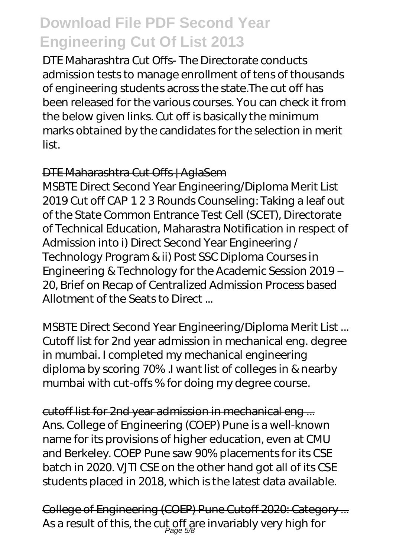DTE Maharashtra Cut Offs- The Directorate conducts admission tests to manage enrollment of tens of thousands of engineering students across the state.The cut off has been released for the various courses. You can check it from the below given links. Cut off is basically the minimum marks obtained by the candidates for the selection in merit list.

#### DTE Maharashtra Cut Offs | AglaSem

MSBTE Direct Second Year Engineering/Diploma Merit List 2019 Cut off CAP 1 2 3 Rounds Counseling: Taking a leaf out of the State Common Entrance Test Cell (SCET), Directorate of Technical Education, Maharastra Notification in respect of Admission into i) Direct Second Year Engineering / Technology Program & ii) Post SSC Diploma Courses in Engineering & Technology for the Academic Session 2019 – 20, Brief on Recap of Centralized Admission Process based Allotment of the Seats to Direct ...

MSBTE Direct Second Year Engineering/Diploma Merit List ... Cutoff list for 2nd year admission in mechanical eng. degree in mumbai. I completed my mechanical engineering diploma by scoring 70% .I want list of colleges in & nearby mumbai with cut-offs % for doing my degree course.

cutoff list for 2nd year admission in mechanical eng ... Ans. College of Engineering (COEP) Pune is a well-known name for its provisions of higher education, even at CMU and Berkeley. COEP Pune saw 90% placements for its CSE batch in 2020. VJTI CSE on the other hand got all of its CSE students placed in 2018, which is the latest data available.

College of Engineering (COEP) Pune Cutoff 2020: Category ... As a result of this, the cut off are invariably very high for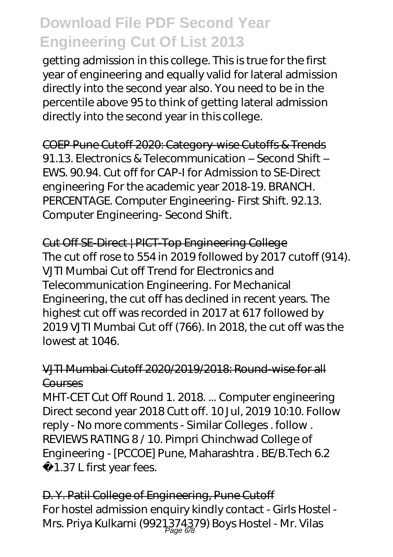getting admission in this college. This is true for the first year of engineering and equally valid for lateral admission directly into the second year also. You need to be in the percentile above 95 to think of getting lateral admission directly into the second year in this college.

COEP Pune Cutoff 2020: Category-wise Cutoffs & Trends 91.13. Electronics & Telecommunication – Second Shift – EWS. 90.94. Cut off for CAP-I for Admission to SE-Direct engineering For the academic year 2018-19. BRANCH. PERCENTAGE. Computer Engineering- First Shift. 92.13. Computer Engineering- Second Shift.

Cut Off SE-Direct | PICT-Top Engineering College The cut off rose to 554 in 2019 followed by 2017 cutoff (914). VJTI Mumbai Cut off Trend for Electronics and Telecommunication Engineering. For Mechanical Engineering, the cut off has declined in recent years. The highest cut off was recorded in 2017 at 617 followed by 2019 VJTI Mumbai Cut off (766). In 2018, the cut off was the lowest at 1046.

#### VJTI Mumbai Cutoff 2020/2019/2018: Round-wise for all **Courses**

MHT-CET Cut Off Round 1. 2018. ... Computer engineering Direct second year 2018 Cutt off. 10 Jul, 2019 10:10. Follow reply - No more comments - Similar Colleges . follow . REVIEWS RATING 8 / 10. Pimpri Chinchwad College of Engineering - [PCCOE] Pune, Maharashtra . BE/B.Tech 6.2 1.37 L first year fees.

D. Y. Patil College of Engineering, Pune Cutoff For hostel admission enquiry kindly contact - Girls Hostel - Mrs. Priya Kulkarni (9921,374,379) Boys Hostel - Mr. Vilas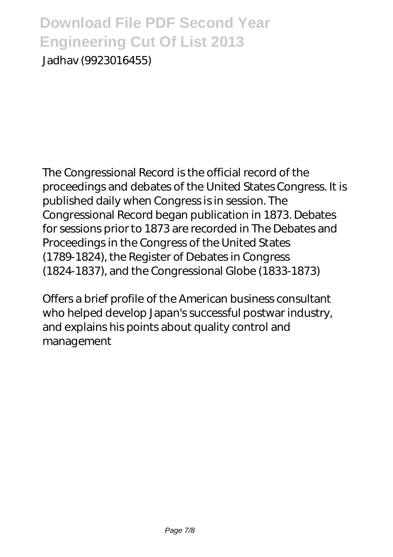Jadhav (9923016455)

The Congressional Record is the official record of the proceedings and debates of the United States Congress. It is published daily when Congress is in session. The Congressional Record began publication in 1873. Debates for sessions prior to 1873 are recorded in The Debates and Proceedings in the Congress of the United States (1789-1824), the Register of Debates in Congress (1824-1837), and the Congressional Globe (1833-1873)

Offers a brief profile of the American business consultant who helped develop Japan's successful postwar industry, and explains his points about quality control and management